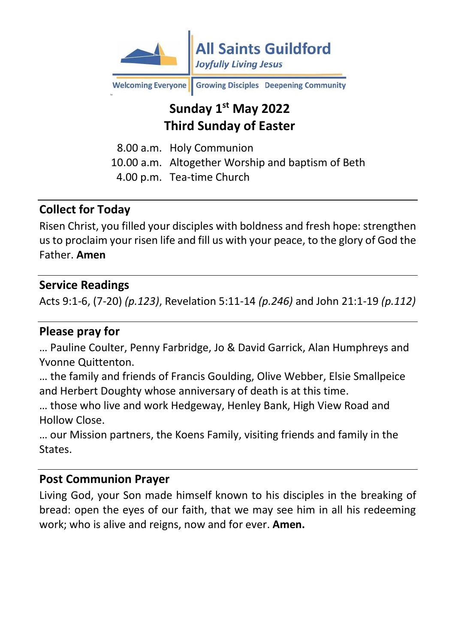

Growing Disciples Deepening Community **Welcoming Everyone** 

# **Sunday 1 st May 2022 Third Sunday of Easter**

8.00 a.m. Holy Communion 10.00 a.m. Altogether Worship and baptism of Beth 4.00 p.m. Tea-time Church

### **Collect for Today**

Risen Christ, you filled your disciples with boldness and fresh hope: strengthen us to proclaim your risen life and fill us with your peace, to the glory of God the Father. **Amen**

### **Service Readings**

Acts 9:1-6, (7-20) *(p.123)*, Revelation 5:11-14 *(p.246)* and John 21:1-19 *(p.112)*

#### **Please pray for**

… Pauline Coulter, Penny Farbridge, Jo & David Garrick, Alan Humphreys and Yvonne Quittenton.

… the family and friends of Francis Goulding, Olive Webber, Elsie Smallpeice and Herbert Doughty whose anniversary of death is at this time.

… those who live and work Hedgeway, Henley Bank, High View Road and Hollow Close.

… our Mission partners, the Koens Family, visiting friends and family in the States.

#### **Post Communion Prayer**

Living God, your Son made himself known to his disciples in the breaking of bread: open the eyes of our faith, that we may see him in all his redeeming work; who is alive and reigns, now and for ever. **Amen.**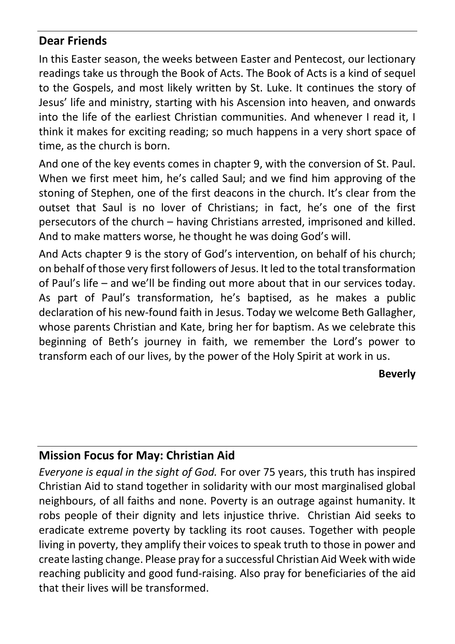### **Dear Friends**

In this Easter season, the weeks between Easter and Pentecost, our lectionary readings take us through the Book of Acts. The Book of Acts is a kind of sequel to the Gospels, and most likely written by St. Luke. It continues the story of Jesus' life and ministry, starting with his Ascension into heaven, and onwards into the life of the earliest Christian communities. And whenever I read it, I think it makes for exciting reading; so much happens in a very short space of time, as the church is born.

And one of the key events comes in chapter 9, with the conversion of St. Paul. When we first meet him, he's called Saul; and we find him approving of the stoning of Stephen, one of the first deacons in the church. It's clear from the outset that Saul is no lover of Christians; in fact, he's one of the first persecutors of the church – having Christians arrested, imprisoned and killed. And to make matters worse, he thought he was doing God's will.

And Acts chapter 9 is the story of God's intervention, on behalf of his church; on behalf of those very first followers of Jesus. It led to the total transformation of Paul's life – and we'll be finding out more about that in our services today. As part of Paul's transformation, he's baptised, as he makes a public declaration of his new-found faith in Jesus. Today we welcome Beth Gallagher, whose parents Christian and Kate, bring her for baptism. As we celebrate this beginning of Beth's journey in faith, we remember the Lord's power to transform each of our lives, by the power of the Holy Spirit at work in us.

**Beverly**

### **Mission Focus for May: Christian Aid**

*Everyone is equal in the sight of God.* For over 75 years, this truth has inspired Christian Aid to stand together in solidarity with our most marginalised global neighbours, of all faiths and none. Poverty is an outrage against humanity. It robs people of their dignity and lets injustice thrive. Christian Aid seeks to eradicate extreme poverty by tackling its root causes. Together with people living in poverty, they amplify their voices to speak truth to those in power and create lasting change. Please pray for a successful Christian Aid Week with wide reaching publicity and good fund-raising. Also pray for beneficiaries of the aid that their lives will be transformed.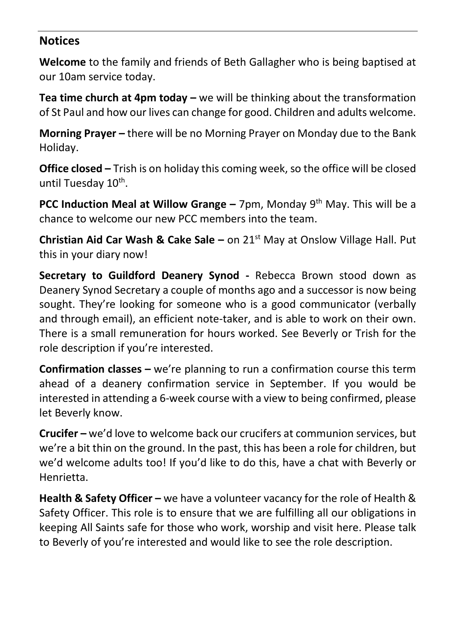#### **Notices**

**Welcome** to the family and friends of Beth Gallagher who is being baptised at our 10am service today.

**Tea time church at 4pm today –** we will be thinking about the transformation of St Paul and how our lives can change for good. Children and adults welcome.

**Morning Prayer –** there will be no Morning Prayer on Monday due to the Bank Holiday.

**Office closed –** Trish is on holiday this coming week, so the office will be closed until Tuesday 10<sup>th</sup>.

**PCC Induction Meal at Willow Grange –** 7pm, Monday 9<sup>th</sup> May. This will be a chance to welcome our new PCC members into the team.

**Christian Aid Car Wash & Cake Sale –** on 21<sup>st</sup> May at Onslow Village Hall. Put this in your diary now!

**Secretary to Guildford Deanery Synod -** Rebecca Brown stood down as Deanery Synod Secretary a couple of months ago and a successor is now being sought. They're looking for someone who is a good communicator (verbally and through email), an efficient note-taker, and is able to work on their own. There is a small remuneration for hours worked. See Beverly or Trish for the role description if you're interested.

**Confirmation classes –** we're planning to run a confirmation course this term ahead of a deanery confirmation service in September. If you would be interested in attending a 6-week course with a view to being confirmed, please let Beverly know.

**Crucifer –** we'd love to welcome back our crucifers at communion services, but we're a bit thin on the ground. In the past, this has been a role for children, but we'd welcome adults too! If you'd like to do this, have a chat with Beverly or Henrietta.

**Health & Safety Officer –** we have a volunteer vacancy for the role of Health & Safety Officer. This role is to ensure that we are fulfilling all our obligations in keeping All Saints safe for those who work, worship and visit here. Please talk to Beverly of you're interested and would like to see the role description.